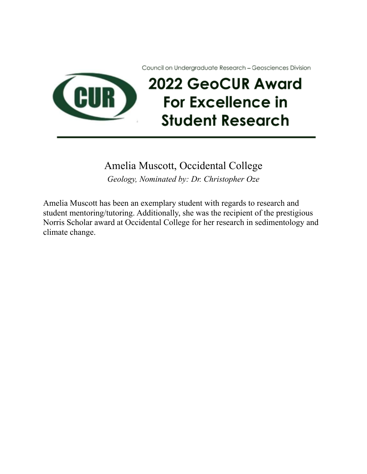Council on Undergraduate Research - Geosciences Division



#### Amelia Muscott, Occidental College

*Geology, Nominated by: Dr. Christopher Oze*

Amelia Muscott has been an exemplary student with regards to research and student mentoring/tutoring. Additionally, she was the recipient of the prestigious Norris Scholar award at Occidental College for her research in sedimentology and climate change.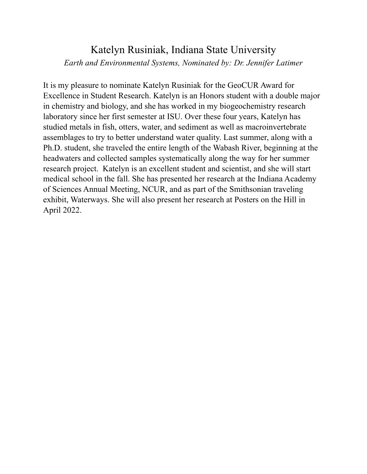# Katelyn Rusiniak, Indiana State University *Earth and Environmental Systems, Nominated by: Dr. Jennifer Latimer*

It is my pleasure to nominate Katelyn Rusiniak for the GeoCUR Award for Excellence in Student Research. Katelyn is an Honors student with a double major in chemistry and biology, and she has worked in my biogeochemistry research laboratory since her first semester at ISU. Over these four years, Katelyn has studied metals in fish, otters, water, and sediment as well as macroinvertebrate assemblages to try to better understand water quality. Last summer, along with a Ph.D. student, she traveled the entire length of the Wabash River, beginning at the headwaters and collected samples systematically along the way for her summer research project. Katelyn is an excellent student and scientist, and she will start medical school in the fall. She has presented her research at the Indiana Academy of Sciences Annual Meeting, NCUR, and as part of the Smithsonian traveling exhibit, Waterways. She will also present her research at Posters on the Hill in April 2022.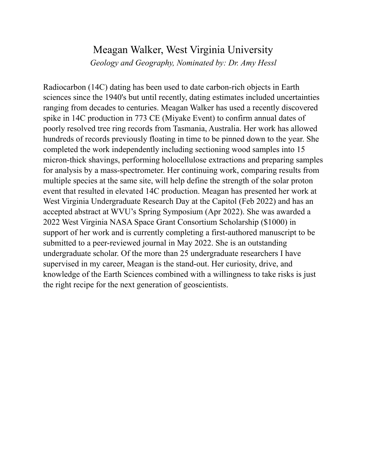# Meagan Walker, West Virginia University

*Geology and Geography, Nominated by: Dr. Amy Hessl*

Radiocarbon (14C) dating has been used to date carbon-rich objects in Earth sciences since the 1940's but until recently, dating estimates included uncertainties ranging from decades to centuries. Meagan Walker has used a recently discovered spike in 14C production in 773 CE (Miyake Event) to confirm annual dates of poorly resolved tree ring records from Tasmania, Australia. Her work has allowed hundreds of records previously floating in time to be pinned down to the year. She completed the work independently including sectioning wood samples into 15 micron-thick shavings, performing holocellulose extractions and preparing samples for analysis by a mass-spectrometer. Her continuing work, comparing results from multiple species at the same site, will help define the strength of the solar proton event that resulted in elevated 14C production. Meagan has presented her work at West Virginia Undergraduate Research Day at the Capitol (Feb 2022) and has an accepted abstract at WVU's Spring Symposium (Apr 2022). She was awarded a 2022 West Virginia NASA Space Grant Consortium Scholarship (\$1000) in support of her work and is currently completing a first-authored manuscript to be submitted to a peer-reviewed journal in May 2022. She is an outstanding undergraduate scholar. Of the more than 25 undergraduate researchers I have supervised in my career, Meagan is the stand-out. Her curiosity, drive, and knowledge of the Earth Sciences combined with a willingness to take risks is just the right recipe for the next generation of geoscientists.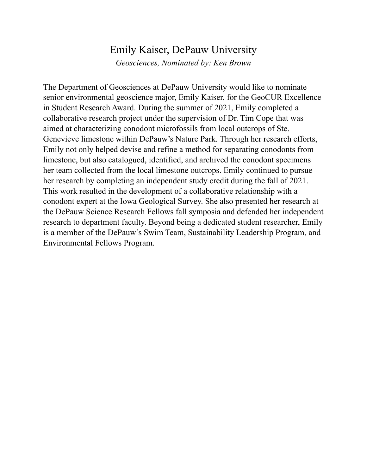#### Emily Kaiser, DePauw University

*Geosciences, Nominated by: Ken Brown*

The Department of Geosciences at DePauw University would like to nominate senior environmental geoscience major, Emily Kaiser, for the GeoCUR Excellence in Student Research Award. During the summer of 2021, Emily completed a collaborative research project under the supervision of Dr. Tim Cope that was aimed at characterizing conodont microfossils from local outcrops of Ste. Genevieve limestone within DePauw's Nature Park. Through her research efforts, Emily not only helped devise and refine a method for separating conodonts from limestone, but also catalogued, identified, and archived the conodont specimens her team collected from the local limestone outcrops. Emily continued to pursue her research by completing an independent study credit during the fall of 2021. This work resulted in the development of a collaborative relationship with a conodont expert at the Iowa Geological Survey. She also presented her research at the DePauw Science Research Fellows fall symposia and defended her independent research to department faculty. Beyond being a dedicated student researcher, Emily is a member of the DePauw's Swim Team, Sustainability Leadership Program, and Environmental Fellows Program.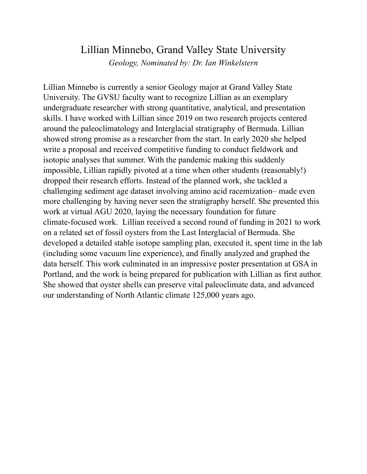### Lillian Minnebo, Grand Valley State University

*Geology, Nominated by: Dr. Ian Winkelstern*

Lillian Minnebo is currently a senior Geology major at Grand Valley State University. The GVSU faculty want to recognize Lillian as an exemplary undergraduate researcher with strong quantitative, analytical, and presentation skills. I have worked with Lillian since 2019 on two research projects centered around the paleoclimatology and Interglacial stratigraphy of Bermuda. Lillian showed strong promise as a researcher from the start. In early 2020 she helped write a proposal and received competitive funding to conduct fieldwork and isotopic analyses that summer. With the pandemic making this suddenly impossible, Lillian rapidly pivoted at a time when other students (reasonably!) dropped their research efforts. Instead of the planned work, she tackled a challenging sediment age dataset involving amino acid racemization– made even more challenging by having never seen the stratigraphy herself. She presented this work at virtual AGU 2020, laying the necessary foundation for future climate-focused work. Lillian received a second round of funding in 2021 to work on a related set of fossil oysters from the Last Interglacial of Bermuda. She developed a detailed stable isotope sampling plan, executed it, spent time in the lab (including some vacuum line experience), and finally analyzed and graphed the data herself. This work culminated in an impressive poster presentation at GSA in Portland, and the work is being prepared for publication with Lillian as first author. She showed that oyster shells can preserve vital paleoclimate data, and advanced our understanding of North Atlantic climate 125,000 years ago.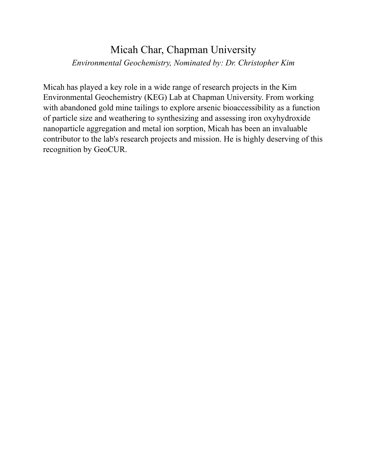# Micah Char, Chapman University *Environmental Geochemistry, Nominated by: Dr. Christopher Kim*

Micah has played a key role in a wide range of research projects in the Kim Environmental Geochemistry (KEG) Lab at Chapman University. From working with abandoned gold mine tailings to explore arsenic bioaccessibility as a function of particle size and weathering to synthesizing and assessing iron oxyhydroxide nanoparticle aggregation and metal ion sorption, Micah has been an invaluable contributor to the lab's research projects and mission. He is highly deserving of this recognition by GeoCUR.